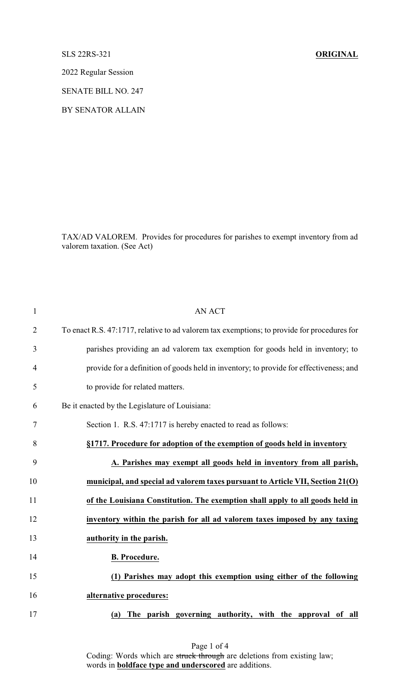SLS 22RS-321 **ORIGINAL**

2022 Regular Session

SENATE BILL NO. 247

BY SENATOR ALLAIN

TAX/AD VALOREM. Provides for procedures for parishes to exempt inventory from ad valorem taxation. (See Act)

| <b>AN ACT</b>                                                                               |
|---------------------------------------------------------------------------------------------|
| To enact R.S. 47:1717, relative to ad valorem tax exemptions; to provide for procedures for |
| parishes providing an ad valorem tax exemption for goods held in inventory; to              |
| provide for a definition of goods held in inventory; to provide for effectiveness; and      |
| to provide for related matters.                                                             |
| Be it enacted by the Legislature of Louisiana:                                              |
| Section 1. R.S. 47:1717 is hereby enacted to read as follows:                               |
| §1717. Procedure for adoption of the exemption of goods held in inventory                   |
| A. Parishes may exempt all goods held in inventory from all parish,                         |
| municipal, and special ad valorem taxes pursuant to Article VII, Section 21(O)              |
| of the Louisiana Constitution. The exemption shall apply to all goods held in               |
| inventory within the parish for all ad valorem taxes imposed by any taxing                  |
| authority in the parish.                                                                    |
| <b>B.</b> Procedure.                                                                        |
| (1) Parishes may adopt this exemption using either of the following                         |
| alternative procedures:                                                                     |
| The parish governing authority, with the approval of<br>all<br>(a)                          |
|                                                                                             |

Page 1 of 4 Coding: Words which are struck through are deletions from existing law; words in **boldface type and underscored** are additions.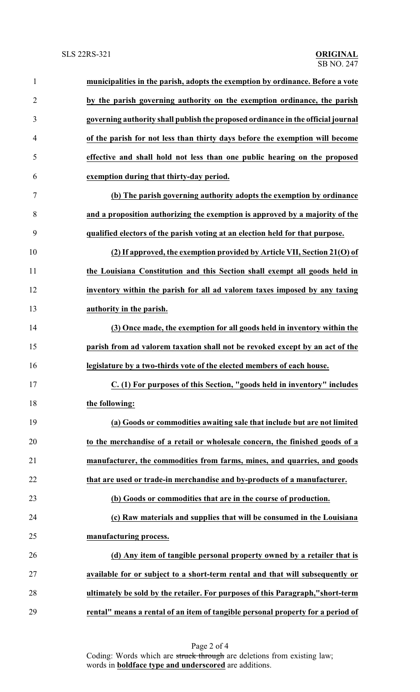| $\mathbf{1}$   | municipalities in the parish, adopts the exemption by ordinance. Before a vote   |
|----------------|----------------------------------------------------------------------------------|
| $\overline{2}$ | by the parish governing authority on the exemption ordinance, the parish         |
| 3              | governing authority shall publish the proposed ordinance in the official journal |
| $\overline{4}$ | of the parish for not less than thirty days before the exemption will become     |
| 5              | effective and shall hold not less than one public hearing on the proposed        |
| 6              | exemption during that thirty-day period.                                         |
| 7              | (b) The parish governing authority adopts the exemption by ordinance             |
| 8              | and a proposition authorizing the exemption is approved by a majority of the     |
| 9              | qualified electors of the parish voting at an election held for that purpose.    |
| 10             | (2) If approved, the exemption provided by Article VII, Section 21(O) of         |
| 11             | the Louisiana Constitution and this Section shall exempt all goods held in       |
| 12             | inventory within the parish for all ad valorem taxes imposed by any taxing       |
| 13             | authority in the parish.                                                         |
| 14             | (3) Once made, the exemption for all goods held in inventory within the          |
| 15             | parish from ad valorem taxation shall not be revoked except by an act of the     |
| 16             | legislature by a two-thirds vote of the elected members of each house.           |
| 17             | C. (1) For purposes of this Section, "goods held in inventory" includes          |
| 18             | the following:                                                                   |
| 19             | (a) Goods or commodities awaiting sale that include but are not limited          |
| 20             | to the merchandise of a retail or wholesale concern, the finished goods of a     |
| 21             | manufacturer, the commodities from farms, mines, and quarries, and goods         |
| 22             | that are used or trade-in merchandise and by-products of a manufacturer.         |
| 23             | (b) Goods or commodities that are in the course of production.                   |
| 24             | (c) Raw materials and supplies that will be consumed in the Louisiana            |
| 25             | manufacturing process.                                                           |
| 26             | (d) Any item of tangible personal property owned by a retailer that is           |
| 27             | available for or subject to a short-term rental and that will subsequently or    |
| 28             | ultimately be sold by the retailer. For purposes of this Paragraph,"short-term   |
| 29             | rental" means a rental of an item of tangible personal property for a period of  |

Page 2 of 4 Coding: Words which are struck through are deletions from existing law; words in **boldface type and underscored** are additions.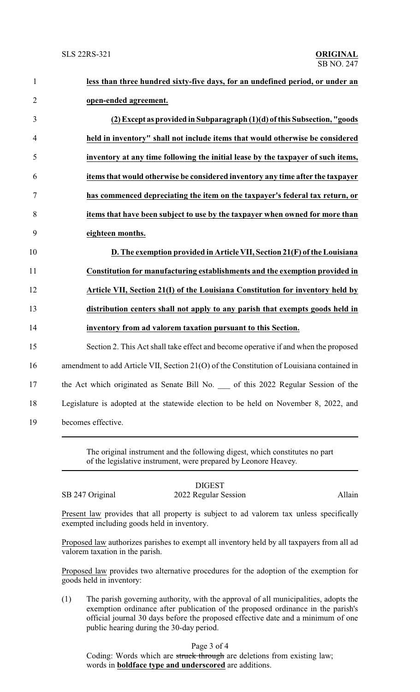| $\mathbf{1}$   | less than three hundred sixty-five days, for an undefined period, or under an             |  |
|----------------|-------------------------------------------------------------------------------------------|--|
| $\mathbf{2}$   | open-ended agreement.                                                                     |  |
| $\mathfrak{Z}$ | (2) Except as provided in Subparagraph (1)(d) of this Subsection, "goods                  |  |
| $\overline{4}$ | held in inventory" shall not include items that would otherwise be considered             |  |
| 5              | inventory at any time following the initial lease by the taxpayer of such items,          |  |
| 6              | items that would otherwise be considered inventory any time after the taxpayer            |  |
| $\tau$         | has commenced depreciating the item on the taxpayer's federal tax return, or              |  |
| $8\,$          | items that have been subject to use by the taxpayer when owned for more than              |  |
| 9              | eighteen months.                                                                          |  |
| 10             | D. The exemption provided in Article VII, Section 21(F) of the Louisiana                  |  |
| 11             | Constitution for manufacturing establishments and the exemption provided in               |  |
| 12             | Article VII, Section 21(I) of the Louisiana Constitution for inventory held by            |  |
| 13             | distribution centers shall not apply to any parish that exempts goods held in             |  |
| 14             | inventory from ad valorem taxation pursuant to this Section.                              |  |
| 15             | Section 2. This Act shall take effect and become operative if and when the proposed       |  |
| 16             | amendment to add Article VII, Section 21(O) of the Constitution of Louisiana contained in |  |
| 17             | the Act which originated as Senate Bill No. __ of this 2022 Regular Session of the        |  |
| 18             | Legislature is adopted at the statewide election to be held on November 8, 2022, and      |  |
| 19             | becomes effective.                                                                        |  |
|                |                                                                                           |  |

The original instrument and the following digest, which constitutes no part of the legislative instrument, were prepared by Leonore Heavey.

| SB 247 Original |
|-----------------|
|                 |

## DIGEST 2022 Regular Session Allain

Present law provides that all property is subject to ad valorem tax unless specifically exempted including goods held in inventory.

Proposed law authorizes parishes to exempt all inventory held by all taxpayers from all ad valorem taxation in the parish.

Proposed law provides two alternative procedures for the adoption of the exemption for goods held in inventory:

(1) The parish governing authority, with the approval of all municipalities, adopts the exemption ordinance after publication of the proposed ordinance in the parish's official journal 30 days before the proposed effective date and a minimum of one public hearing during the 30-day period.

## Page 3 of 4

Coding: Words which are struck through are deletions from existing law; words in **boldface type and underscored** are additions.